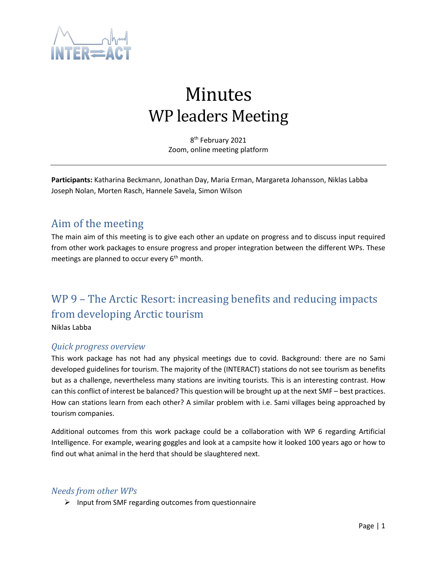

# Minutes WP leaders Meeting

8 th February 2021 Zoom, online meeting platform

**Participants:** Katharina Beckmann, Jonathan Day, Maria Erman, Margareta Johansson, Niklas Labba Joseph Nolan, Morten Rasch, Hannele Savela, Simon Wilson

### Aim of the meeting

The main aim of this meeting is to give each other an update on progress and to discuss input required from other work packages to ensure progress and proper integration between the different WPs. These meetings are planned to occur every  $6<sup>th</sup>$  month.

# WP 9 – The Arctic Resort: increasing benefits and reducing impacts from developing Arctic tourism

Niklas Labba

#### *Quick progress overview*

This work package has not had any physical meetings due to covid. Background: there are no Sami developed guidelines for tourism. The majority of the (INTERACT) stations do not see tourism as benefits but as a challenge, nevertheless many stations are inviting tourists. This is an interesting contrast. How can this conflict of interest be balanced? This question will be brought up at the next SMF – best practices. How can stations learn from each other? A similar problem with i.e. Sami villages being approached by tourism companies.

Additional outcomes from this work package could be a collaboration with WP 6 regarding Artificial Intelligence. For example, wearing goggles and look at a campsite how it looked 100 years ago or how to find out what animal in the herd that should be slaughtered next.

#### *Needs from other WPs*

➢ Input from SMF regarding outcomes from questionnaire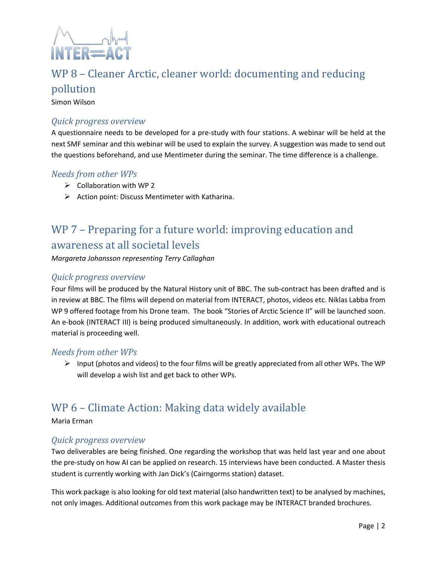

# WP 8 – Cleaner Arctic, cleaner world: documenting and reducing pollution

Simon Wilson

#### *Quick progress overview*

A questionnaire needs to be developed for a pre-study with four stations. A webinar will be held at the next SMF seminar and this webinar will be used to explain the survey. A suggestion was made to send out the questions beforehand, and use Mentimeter during the seminar. The time difference is a challenge.

#### *Needs from other WPs*

- ➢ Collaboration with WP 2
- $\triangleright$  Action point: Discuss Mentimeter with Katharina.

# WP 7 – Preparing for a future world: improving education and awareness at all societal levels

*Margareta Johansson representing Terry Callaghan*

#### *Quick progress overview*

Four films will be produced by the Natural History unit of BBC. The sub-contract has been drafted and is in review at BBC. The films will depend on material from INTERACT, photos, videos etc. Niklas Labba from WP 9 offered footage from his Drone team. The book "Stories of Arctic Science II" will be launched soon. An e-book (INTERACT III) is being produced simultaneously. In addition, work with educational outreach material is proceeding well.

#### *Needs from other WPs*

 $\triangleright$  Input (photos and videos) to the four films will be greatly appreciated from all other WPs. The WP will develop a wish list and get back to other WPs.

# WP 6 – Climate Action: Making data widely available

Maria Erman

#### *Quick progress overview*

Two deliverables are being finished. One regarding the workshop that was held last year and one about the pre-study on how AI can be applied on research. 15 interviews have been conducted. A Master thesis student is currently working with Jan Dick's (Cairngorms station) dataset.

This work package is also looking for old text material (also handwritten text) to be analysed by machines, not only images. Additional outcomes from this work package may be INTERACT branded brochures.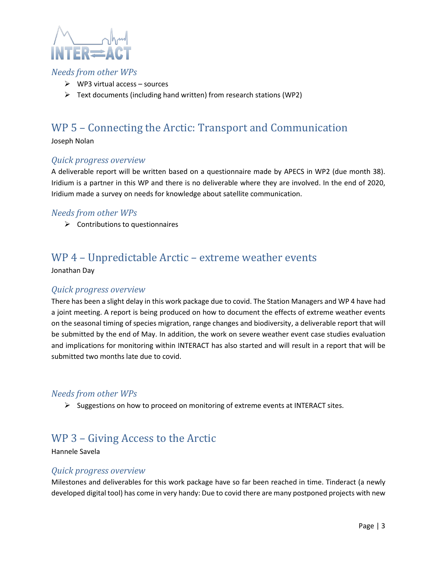

#### *Needs from other WPs*

- $\triangleright$  WP3 virtual access sources
- ➢ Text documents (including hand written) from research stations (WP2)

# WP 5 – Connecting the Arctic: Transport and Communication

Joseph Nolan

#### *Quick progress overview*

A deliverable report will be written based on a questionnaire made by APECS in WP2 (due month 38). Iridium is a partner in this WP and there is no deliverable where they are involved. In the end of 2020, Iridium made a survey on needs for knowledge about satellite communication.

#### *Needs from other WPs*

 $\triangleright$  Contributions to questionnaires

### WP 4 – Unpredictable Arctic – extreme weather events

Jonathan Day

#### *Quick progress overview*

There has been a slight delay in this work package due to covid. The Station Managers and WP 4 have had a joint meeting. A report is being produced on how to document the effects of extreme weather events on the seasonal timing of species migration, range changes and biodiversity, a deliverable report that will be submitted by the end of May. In addition, the work on severe weather event case studies evaluation and implications for monitoring within INTERACT has also started and will result in a report that will be submitted two months late due to covid.

#### *Needs from other WPs*

 $\triangleright$  Suggestions on how to proceed on monitoring of extreme events at INTERACT sites.

### WP 3 – Giving Access to the Arctic

#### Hannele Savela

#### *Quick progress overview*

Milestones and deliverables for this work package have so far been reached in time. Tinderact (a newly developed digital tool) has come in very handy: Due to covid there are many postponed projects with new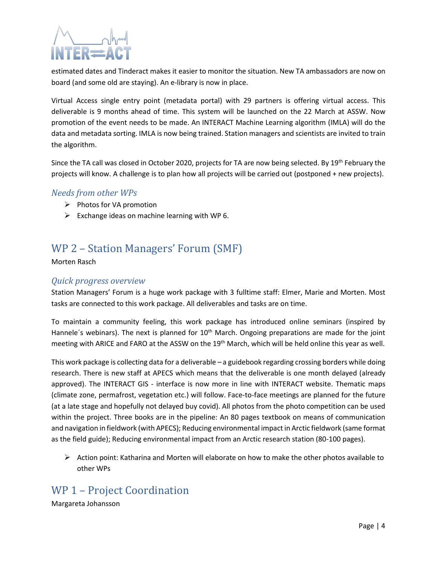

estimated dates and Tinderact makes it easier to monitor the situation. New TA ambassadors are now on board (and some old are staying). An e-library is now in place.

Virtual Access single entry point (metadata portal) with 29 partners is offering virtual access. This deliverable is 9 months ahead of time. This system will be launched on the 22 March at ASSW. Now promotion of the event needs to be made. An INTERACT Machine Learning algorithm (IMLA) will do the data and metadata sorting. IMLA is now being trained. Station managers and scientists are invited to train the algorithm.

Since the TA call was closed in October 2020, projects for TA are now being selected. By 19<sup>th</sup> February the projects will know. A challenge is to plan how all projects will be carried out (postponed + new projects).

#### *Needs from other WPs*

- ➢ Photos for VA promotion
- $\triangleright$  Exchange ideas on machine learning with WP 6.

## WP 2 – Station Managers' Forum (SMF)

Morten Rasch

#### *Quick progress overview*

Station Managers' Forum is a huge work package with 3 fulltime staff: Elmer, Marie and Morten. Most tasks are connected to this work package. All deliverables and tasks are on time.

To maintain a community feeling, this work package has introduced online seminars (inspired by Hannele's webinars). The next is planned for  $10<sup>th</sup>$  March. Ongoing preparations are made for the joint meeting with ARICE and FARO at the ASSW on the 19<sup>th</sup> March, which will be held online this year as well.

This work package is collecting data for a deliverable – a guidebook regarding crossing borders while doing research. There is new staff at APECS which means that the deliverable is one month delayed (already approved). The INTERACT GIS - interface is now more in line with INTERACT website. Thematic maps (climate zone, permafrost, vegetation etc.) will follow. Face-to-face meetings are planned for the future (at a late stage and hopefully not delayed buy covid). All photos from the photo competition can be used within the project. Three books are in the pipeline: An 80 pages textbook on means of communication and navigation in fieldwork (with APECS); Reducing environmental impact in Arctic fieldwork (same format as the field guide); Reducing environmental impact from an Arctic research station (80-100 pages).

 $\triangleright$  Action point: Katharina and Morten will elaborate on how to make the other photos available to other WPs

## WP 1 – Project Coordination

Margareta Johansson